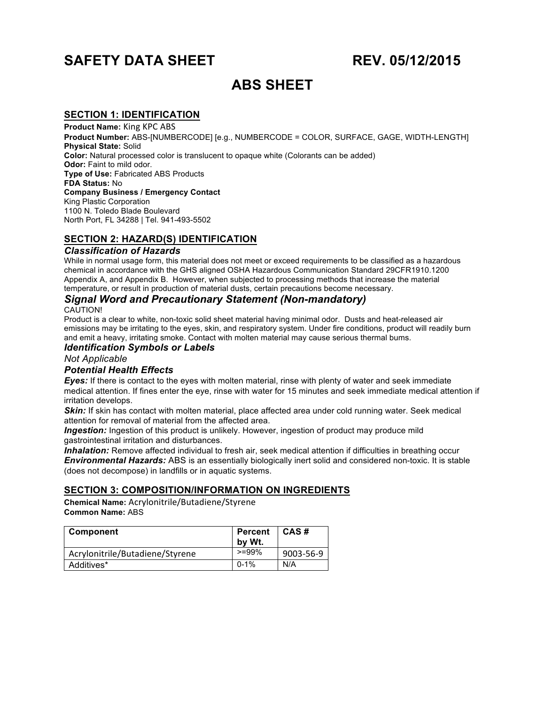# **SAFETY DATA SHEET REV. 05/12/2015**

# **ABS SHEET**

# **SECTION 1: IDENTIFICATION**

**Product Name: King KPC ABS Product Number:** ABS-[NUMBERCODE] [e.g., NUMBERCODE = COLOR, SURFACE, GAGE, WIDTH-LENGTH] **Physical State:** Solid **Color:** Natural processed color is translucent to opaque white (Colorants can be added) **Odor:** Faint to mild odor. **Type of Use:** Fabricated ABS Products **FDA Status:** No **Company Business / Emergency Contact** King Plastic Corporation 1100 N. Toledo Blade Boulevard North Port, FL 34288 | Tel. 941-493-5502

# **SECTION 2: HAZARD(S) IDENTIFICATION**

#### *Classification of Hazards*

While in normal usage form, this material does not meet or exceed requirements to be classified as a hazardous chemical in accordance with the GHS aligned OSHA Hazardous Communication Standard 29CFR1910.1200 Appendix A, and Appendix B. However, when subjected to processing methods that increase the material temperature, or result in production of material dusts, certain precautions become necessary.

# *Signal Word and Precautionary Statement (Non-mandatory)*

#### CAUTION!

Product is a clear to white, non-toxic solid sheet material having minimal odor. Dusts and heat-released air emissions may be irritating to the eyes, skin, and respiratory system. Under fire conditions, product will readily burn and emit a heavy, irritating smoke. Contact with molten material may cause serious thermal bums.

#### *Identification Symbols or Labels*

*Not Applicable*

#### *Potential Health Effects*

*Eyes:* If there is contact to the eyes with molten material, rinse with plenty of water and seek immediate medical attention. If fines enter the eye, rinse with water for 15 minutes and seek immediate medical attention if irritation develops.

*Skin:* If skin has contact with molten material, place affected area under cold running water. Seek medical attention for removal of material from the affected area.

**Ingestion:** Ingestion of this product is unlikely. However, ingestion of product may produce mild gastrointestinal irritation and disturbances.

*Inhalation:* Remove affected individual to fresh air, seek medical attention if difficulties in breathing occur *Environmental Hazards:* ABS is an essentially biologically inert solid and considered non-toxic. It is stable (does not decompose) in landfills or in aquatic systems.

# **SECTION 3: COMPOSITION/INFORMATION ON INGREDIENTS**

**Chemical Name:** Acrylonitrile/Butadiene/Styrene **Common Name:** ABS

| <b>Component</b>                | <b>Percent</b><br>by Wt. | CAS#      |
|---------------------------------|--------------------------|-----------|
| Acrylonitrile/Butadiene/Styrene | $>=99%$                  | 9003-56-9 |
| Additives*                      | $0 - 1\%$                | N/A       |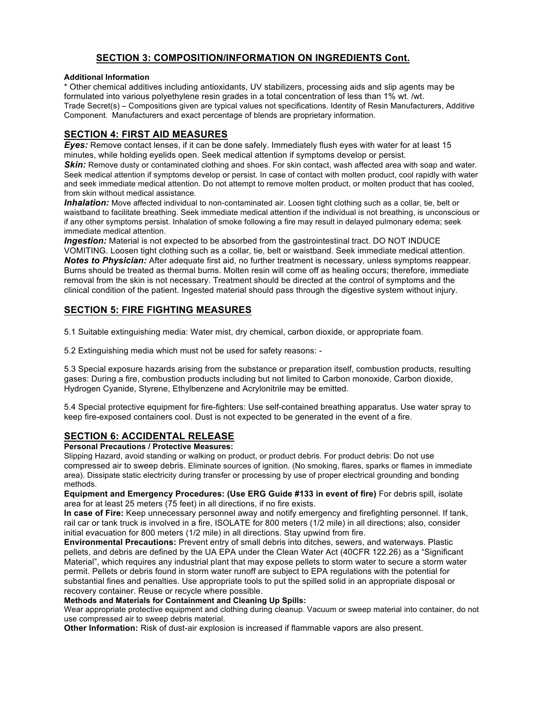# **SECTION 3: COMPOSITION/INFORMATION ON INGREDIENTS Cont.**

#### **Additional Information**

\* Other chemical additives including antioxidants, UV stabilizers, processing aids and slip agents may be formulated into various polyethylene resin grades in a total concentration of less than 1% wt. /wt. Trade Secret(s) – Compositions given are typical values not specifications. Identity of Resin Manufacturers, Additive Component. Manufacturers and exact percentage of blends are proprietary information.

# **SECTION 4: FIRST AID MEASURES**

*Eyes:* Remove contact lenses, if it can be done safely. Immediately flush eyes with water for at least 15 minutes, while holding eyelids open. Seek medical attention if symptoms develop or persist.

**Skin:** Remove dusty or contaminated clothing and shoes. For skin contact, wash affected area with soap and water. Seek medical attention if symptoms develop or persist. In case of contact with molten product, cool rapidly with water and seek immediate medical attention. Do not attempt to remove molten product, or molten product that has cooled, from skin without medical assistance.

*Inhalation:* Move affected individual to non-contaminated air. Loosen tight clothing such as a collar, tie, belt or waistband to facilitate breathing. Seek immediate medical attention if the individual is not breathing, is unconscious or if any other symptoms persist. Inhalation of smoke following a fire may result in delayed pulmonary edema; seek immediate medical attention.

**Ingestion:** Material is not expected to be absorbed from the gastrointestinal tract. DO NOT INDUCE VOMITING. Loosen tight clothing such as a collar, tie, belt or waistband. Seek immediate medical attention. *Notes to Physician:* After adequate first aid, no further treatment is necessary, unless symptoms reappear. Burns should be treated as thermal burns. Molten resin will come off as healing occurs; therefore, immediate removal from the skin is not necessary. Treatment should be directed at the control of symptoms and the clinical condition of the patient. Ingested material should pass through the digestive system without injury.

# **SECTION 5: FIRE FIGHTING MEASURES**

5.1 Suitable extinguishing media: Water mist, dry chemical, carbon dioxide, or appropriate foam.

5.2 Extinguishing media which must not be used for safety reasons: -

5.3 Special exposure hazards arising from the substance or preparation itself, combustion products, resulting gases: During a fire, combustion products including but not limited to Carbon monoxide, Carbon dioxide, Hydrogen Cyanide, Styrene, Ethylbenzene and Acrylonitrile may be emitted.

5.4 Special protective equipment for fire-fighters: Use self-contained breathing apparatus. Use water spray to keep fire-exposed containers cool. Dust is not expected to be generated in the event of a fire.

# **SECTION 6: ACCIDENTAL RELEASE**

**Personal Precautions / Protective Measures:**

Slipping Hazard, avoid standing or walking on product, or product debris. For product debris: Do not use compressed air to sweep debris. Eliminate sources of ignition. (No smoking, flares, sparks or flames in immediate area). Dissipate static electricity during transfer or processing by use of proper electrical grounding and bonding methods.

**Equipment and Emergency Procedures: (Use ERG Guide #133 in event of fire)** For debris spill, isolate area for at least 25 meters (75 feet) in all directions, if no fire exists.

**In case of Fire:** Keep unnecessary personnel away and notify emergency and firefighting personnel. If tank, rail car or tank truck is involved in a fire, ISOLATE for 800 meters (1/2 mile) in all directions; also, consider initial evacuation for 800 meters (1/2 mile) in all directions. Stay upwind from fire.

**Environmental Precautions:** Prevent entry of small debris into ditches, sewers, and waterways. Plastic pellets, and debris are defined by the UA EPA under the Clean Water Act (40CFR 122.26) as a "Significant Material", which requires any industrial plant that may expose pellets to storm water to secure a storm water permit. Pellets or debris found in storm water runoff are subject to EPA regulations with the potential for substantial fines and penalties. Use appropriate tools to put the spilled solid in an appropriate disposal or recovery container. Reuse or recycle where possible.

#### **Methods and Materials for Containment and Cleaning Up Spills:**

Wear appropriate protective equipment and clothing during cleanup. Vacuum or sweep material into container, do not use compressed air to sweep debris material.

**Other Information:** Risk of dust-air explosion is increased if flammable vapors are also present.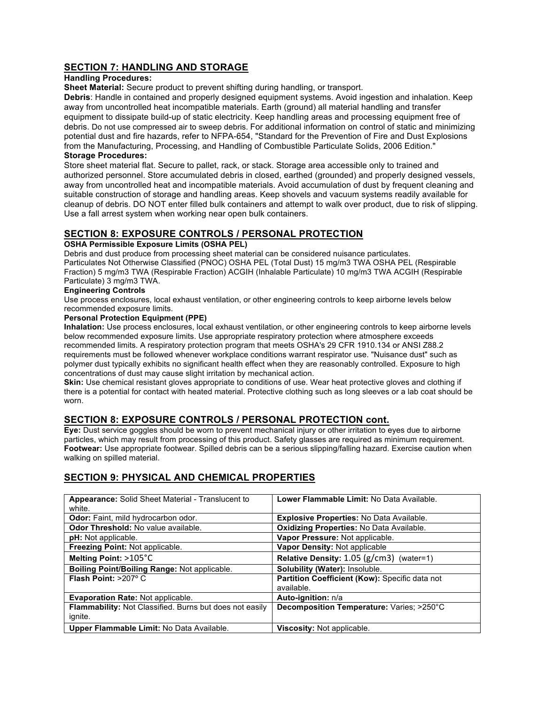# **SECTION 7: HANDLING AND STORAGE**

#### **Handling Procedures:**

**Sheet Material:** Secure product to prevent shifting during handling, or transport.

**Debris**: Handle in contained and properly designed equipment systems. Avoid ingestion and inhalation. Keep away from uncontrolled heat incompatible materials. Earth (ground) all material handling and transfer equipment to dissipate build-up of static electricity. Keep handling areas and processing equipment free of debris. Do not use compressed air to sweep debris. For additional information on control of static and minimizing potential dust and fire hazards, refer to NFPA-654, "Standard for the Prevention of Fire and Dust Explosions from the Manufacturing, Processing, and Handling of Combustible Particulate Solids, 2006 Edition."

#### **Storage Procedures:**

Store sheet material flat. Secure to pallet, rack, or stack. Storage area accessible only to trained and authorized personnel. Store accumulated debris in closed, earthed (grounded) and properly designed vessels, away from uncontrolled heat and incompatible materials. Avoid accumulation of dust by frequent cleaning and suitable construction of storage and handling areas. Keep shovels and vacuum systems readily available for cleanup of debris. DO NOT enter filled bulk containers and attempt to walk over product, due to risk of slipping. Use a fall arrest system when working near open bulk containers.

# **SECTION 8: EXPOSURE CONTROLS / PERSONAL PROTECTION**

#### **OSHA Permissible Exposure Limits (OSHA PEL)**

Debris and dust produce from processing sheet material can be considered nuisance particulates. Particulates Not Otherwise Classified (PNOC) OSHA PEL (Total Dust) 15 mg/m3 TWA OSHA PEL (Respirable Fraction) 5 mg/m3 TWA (Respirable Fraction) ACGIH (Inhalable Particulate) 10 mg/m3 TWA ACGIH (Respirable Particulate) 3 mg/m3 TWA.

#### **Engineering Controls**

Use process enclosures, local exhaust ventilation, or other engineering controls to keep airborne levels below recommended exposure limits.

#### **Personal Protection Equipment (PPE)**

**Inhalation:** Use process enclosures, local exhaust ventilation, or other engineering controls to keep airborne levels below recommended exposure limits. Use appropriate respiratory protection where atmosphere exceeds recommended limits. A respiratory protection program that meets OSHA's 29 CFR 1910.134 or ANSI Z88.2 requirements must be followed whenever workplace conditions warrant respirator use. "Nuisance dust" such as polymer dust typically exhibits no significant health effect when they are reasonably controlled. Exposure to high concentrations of dust may cause slight irritation by mechanical action.

**Skin:** Use chemical resistant gloves appropriate to conditions of use. Wear heat protective gloves and clothing if there is a potential for contact with heated material. Protective clothing such as long sleeves or a lab coat should be worn.

# **SECTION 8: EXPOSURE CONTROLS / PERSONAL PROTECTION cont.**

**Eye:** Dust service goggles should be worn to prevent mechanical injury or other irritation to eyes due to airborne particles, which may result from processing of this product. Safety glasses are required as minimum requirement. **Footwear:** Use appropriate footwear. Spilled debris can be a serious slipping/falling hazard. Exercise caution when walking on spilled material.

# **SECTION 9: PHYSICAL AND CHEMICAL PROPERTIES**

| <b>Appearance:</b> Solid Sheet Material - Translucent to<br>white.        | Lower Flammable Limit: No Data Available.       |
|---------------------------------------------------------------------------|-------------------------------------------------|
| Odor: Faint, mild hydrocarbon odor.                                       | Explosive Properties: No Data Available.        |
| <b>Odor Threshold: No value available.</b>                                | <b>Oxidizing Properties: No Data Available.</b> |
| <b>pH:</b> Not applicable.                                                | Vapor Pressure: Not applicable.                 |
| Freezing Point: Not applicable.                                           | Vapor Density: Not applicable                   |
| Melting Point: $>105^{\circ}$ C                                           | Relative Density: $1.05$ ( $g/cm3$ ) (water=1)  |
| Boiling Point/Boiling Range: Not applicable.                              | <b>Solubility (Water): Insoluble.</b>           |
| Flash Point: $>207^\circ$ C                                               | Partition Coefficient (Kow): Specific data not  |
|                                                                           | available.                                      |
| <b>Evaporation Rate: Not applicable.</b>                                  | Auto-ignition: n/a                              |
| <b>Flammability:</b> Not Classified. Burns but does not easily<br>ignite. | Decomposition Temperature: Varies; >250°C       |
| Upper Flammable Limit: No Data Available.                                 | Viscosity: Not applicable.                      |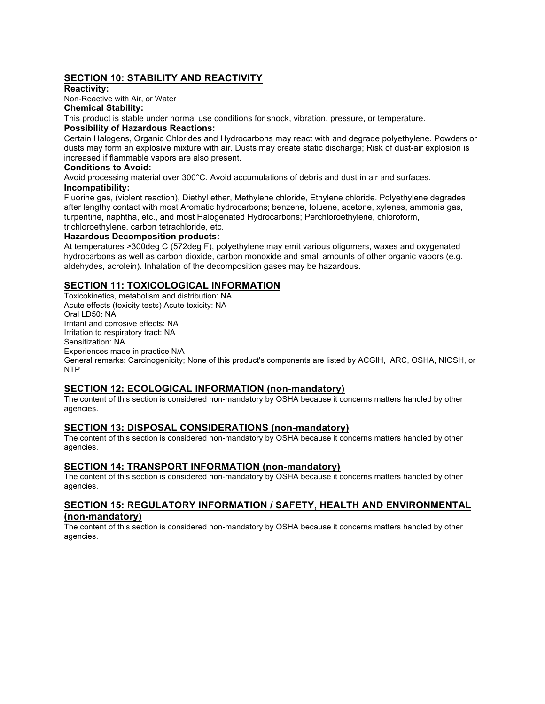# **SECTION 10: STABILITY AND REACTIVITY**

### **Reactivity:**

Non-Reactive with Air, or Water

**Chemical Stability:**

This product is stable under normal use conditions for shock, vibration, pressure, or temperature.

#### **Possibility of Hazardous Reactions:**

Certain Halogens, Organic Chlorides and Hydrocarbons may react with and degrade polyethylene. Powders or dusts may form an explosive mixture with air. Dusts may create static discharge; Risk of dust-air explosion is increased if flammable vapors are also present.

#### **Conditions to Avoid:**

Avoid processing material over 300°C. Avoid accumulations of debris and dust in air and surfaces. **Incompatibility:**

Fluorine gas, (violent reaction), Diethyl ether, Methylene chloride, Ethylene chloride. Polyethylene degrades after lengthy contact with most Aromatic hydrocarbons; benzene, toluene, acetone, xylenes, ammonia gas, turpentine, naphtha, etc., and most Halogenated Hydrocarbons; Perchloroethylene, chloroform, trichloroethylene, carbon tetrachloride, etc.

#### **Hazardous Decomposition products:**

At temperatures >300deg C (572deg F), polyethylene may emit various oligomers, waxes and oxygenated hydrocarbons as well as carbon dioxide, carbon monoxide and small amounts of other organic vapors (e.g. aldehydes, acrolein). Inhalation of the decomposition gases may be hazardous.

# **SECTION 11: TOXICOLOGICAL INFORMATION**

Toxicokinetics, metabolism and distribution: NA Acute effects (toxicity tests) Acute toxicity: NA Oral LD50: NA Irritant and corrosive effects: NA Irritation to respiratory tract: NA Sensitization: NA Experiences made in practice N/A General remarks: Carcinogenicity; None of this product's components are listed by ACGIH, IARC, OSHA, NIOSH, or NTP

# **SECTION 12: ECOLOGICAL INFORMATION (non-mandatory)**

The content of this section is considered non-mandatory by OSHA because it concerns matters handled by other agencies.

# **SECTION 13: DISPOSAL CONSIDERATIONS (non-mandatory)**

The content of this section is considered non-mandatory by OSHA because it concerns matters handled by other agencies.

#### **SECTION 14: TRANSPORT INFORMATION (non-mandatory)**

The content of this section is considered non-mandatory by OSHA because it concerns matters handled by other agencies.

### **SECTION 15: REGULATORY INFORMATION / SAFETY, HEALTH AND ENVIRONMENTAL (non-mandatory)**

The content of this section is considered non-mandatory by OSHA because it concerns matters handled by other agencies.